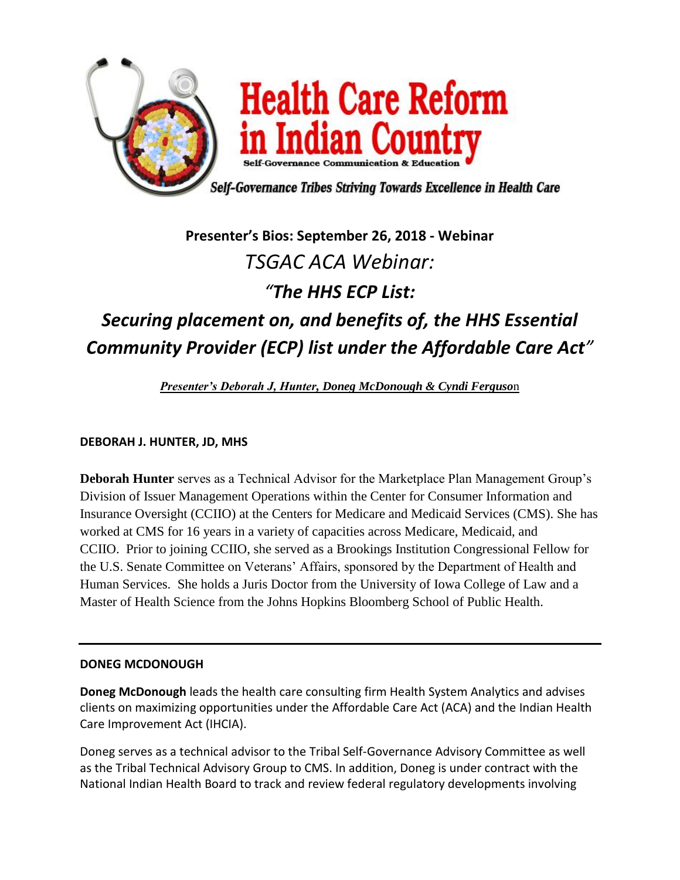

## **Presenter's Bios: September 26, 2018 - Webinar** *TSGAC ACA Webinar: "The HHS ECP List:*

## *Securing placement on, and benefits of, the HHS Essential Community Provider (ECP) list under the Affordable Care Act"*

*Presenter's Deborah J, Hunter, Doneg McDonough & Cyndi Ferguso*n

**DEBORAH J. HUNTER, JD, MHS**

**Deborah Hunter** serves as a Technical Advisor for the Marketplace Plan Management Group's Division of Issuer Management Operations within the Center for Consumer Information and Insurance Oversight (CCIIO) at the Centers for Medicare and Medicaid Services (CMS). She has worked at CMS for 16 years in a variety of capacities across Medicare, Medicaid, and CCIIO. Prior to joining CCIIO, she served as a Brookings Institution Congressional Fellow for the U.S. Senate Committee on Veterans' Affairs, sponsored by the Department of Health and Human Services. She holds a Juris Doctor from the University of Iowa College of Law and a Master of Health Science from the Johns Hopkins Bloomberg School of Public Health.

## **DONEG MCDONOUGH**

**Doneg McDonough** leads the health care consulting firm Health System Analytics and advises clients on maximizing opportunities under the Affordable Care Act (ACA) and the Indian Health Care Improvement Act (IHCIA).

Doneg serves as a technical advisor to the Tribal Self-Governance Advisory Committee as well as the Tribal Technical Advisory Group to CMS. In addition, Doneg is under contract with the National Indian Health Board to track and review federal regulatory developments involving